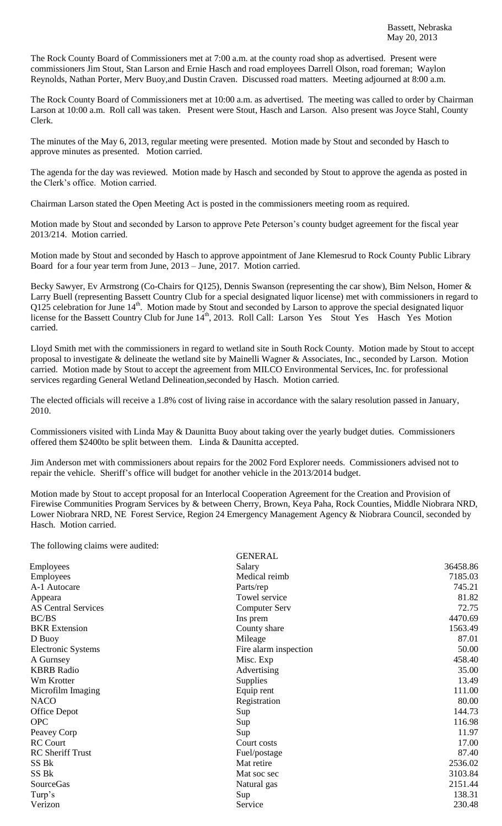The Rock County Board of Commissioners met at 7:00 a.m. at the county road shop as advertised. Present were commissioners Jim Stout, Stan Larson and Ernie Hasch and road employees Darrell Olson, road foreman; Waylon Reynolds, Nathan Porter, Merv Buoy,and Dustin Craven. Discussed road matters. Meeting adjourned at 8:00 a.m.

The Rock County Board of Commissioners met at 10:00 a.m. as advertised. The meeting was called to order by Chairman Larson at 10:00 a.m. Roll call was taken. Present were Stout, Hasch and Larson. Also present was Joyce Stahl, County Clerk.

The minutes of the May 6, 2013, regular meeting were presented. Motion made by Stout and seconded by Hasch to approve minutes as presented. Motion carried.

The agenda for the day was reviewed. Motion made by Hasch and seconded by Stout to approve the agenda as posted in the Clerk's office. Motion carried.

Chairman Larson stated the Open Meeting Act is posted in the commissioners meeting room as required.

Motion made by Stout and seconded by Larson to approve Pete Peterson's county budget agreement for the fiscal year 2013/214. Motion carried.

Motion made by Stout and seconded by Hasch to approve appointment of Jane Klemesrud to Rock County Public Library Board for a four year term from June, 2013 – June, 2017. Motion carried.

Becky Sawyer, Ev Armstrong (Co-Chairs for Q125), Dennis Swanson (representing the car show), Bim Nelson, Homer & Larry Buell (representing Bassett Country Club for a special designated liquor license) met with commissioners in regard to Q125 celebration for June 14<sup>th</sup>. Motion made by Stout and seconded by Larson to approve the special designated liquor license for the Bassett Country Club for June 14<sup>th</sup>, 2013. Roll Call: Larson Yes Stout Yes Hasch Yes Motion carried.

Lloyd Smith met with the commissioners in regard to wetland site in South Rock County. Motion made by Stout to accept proposal to investigate & delineate the wetland site by Mainelli Wagner & Associates, Inc., seconded by Larson. Motion carried. Motion made by Stout to accept the agreement from MILCO Environmental Services, Inc. for professional services regarding General Wetland Delineation,seconded by Hasch. Motion carried.

The elected officials will receive a 1.8% cost of living raise in accordance with the salary resolution passed in January, 2010.

Commissioners visited with Linda May & Daunitta Buoy about taking over the yearly budget duties. Commissioners offered them \$2400to be split between them. Linda & Daunitta accepted.

Jim Anderson met with commissioners about repairs for the 2002 Ford Explorer needs. Commissioners advised not to repair the vehicle. Sheriff's office will budget for another vehicle in the 2013/2014 budget.

Motion made by Stout to accept proposal for an Interlocal Cooperation Agreement for the Creation and Provision of Firewise Communities Program Services by & between Cherry, Brown, Keya Paha, Rock Counties, Middle Niobrara NRD, Lower Niobrara NRD, NE Forest Service, Region 24 Emergency Management Agency & Niobrara Council, seconded by Hasch. Motion carried.

The following claims were audited:

| <b>GENERAL</b>        |          |
|-----------------------|----------|
| Salary                | 36458.86 |
| Medical reimb         | 7185.03  |
| Parts/rep             | 745.21   |
| Towel service         | 81.82    |
| <b>Computer Serv</b>  | 72.75    |
| Ins prem              | 4470.69  |
| County share          | 1563.49  |
| Mileage               | 87.01    |
| Fire alarm inspection | 50.00    |
| Misc. Exp             | 458.40   |
| Advertising           | 35.00    |
| <b>Supplies</b>       | 13.49    |
| Equip rent            | 111.00   |
| Registration          | 80.00    |
| Sup                   | 144.73   |
| Sup                   | 116.98   |
| Sup                   | 11.97    |
| Court costs           | 17.00    |
| Fuel/postage          | 87.40    |
| Mat retire            | 2536.02  |
| Mat soc sec           | 3103.84  |
| Natural gas           | 2151.44  |
| Sup                   | 138.31   |
| Service               | 230.48   |
|                       |          |